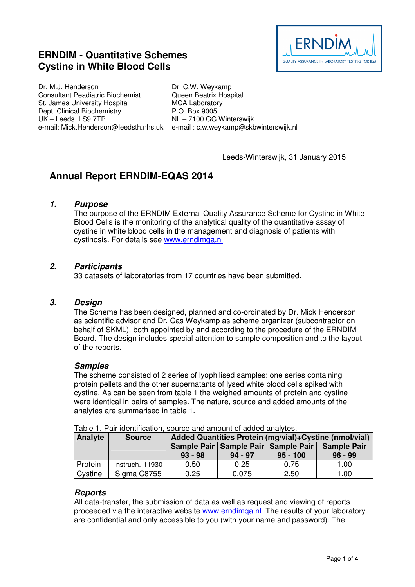# **ERNDIM - Quantitative Schemes Cystine in White Blood Cells**



Dr. M.J. Henderson Consultant Peadiatric Biochemist St. James University Hospital Dept. Clinical Biochemistry UK – Leeds LS9 7TP e-mail: Mick.Henderson@leedsth.nhs.uk e-mail : c.w.weykamp@skbwinterswijk.nl

Dr. C.W. Weykamp Queen Beatrix Hospital MCA Laboratory P.O. Box 9005 NL – 7100 GG Winterswijk

Leeds-Winterswijk, 31 January 2015

# **Annual Report ERNDIM-EQAS 2014**

# **1. Purpose**

The purpose of the ERNDIM External Quality Assurance Scheme for Cystine in White Blood Cells is the monitoring of the analytical quality of the quantitative assay of cystine in white blood cells in the management and diagnosis of patients with cystinosis. For details see www.erndimqa.nl

# **2. Participants**

33 datasets of laboratories from 17 countries have been submitted.

# **3. Design**

The Scheme has been designed, planned and co-ordinated by Dr. Mick Henderson as scientific advisor and Dr. Cas Weykamp as scheme organizer (subcontractor on behalf of SKML), both appointed by and according to the procedure of the ERNDIM Board. The design includes special attention to sample composition and to the layout of the reports.

# **Samples**

The scheme consisted of 2 series of lyophilised samples: one series containing protein pellets and the other supernatants of lysed white blood cells spiked with cystine. As can be seen from table 1 the weighed amounts of protein and cystine were identical in pairs of samples. The nature, source and added amounts of the analytes are summarised in table 1.

| Analyte | <b>Source</b>   | Added Quantities Protein (mg/vial)+Cystine (nmol/vial) |                                                      |            |                                 |
|---------|-----------------|--------------------------------------------------------|------------------------------------------------------|------------|---------------------------------|
|         |                 | $93 - 98$                                              | Sample Pair   Sample Pair   Sample Pair<br>$94 - 97$ | $95 - 100$ | <b>Sample Pair</b><br>$96 - 99$ |
| Protein | Instruch. 11930 | 0.50                                                   | 0.25                                                 | 0.75       | 1.00                            |
| Cystine | Sigma C8755     | 0.25                                                   | 0.075                                                | 2.50       | 1.00                            |

Table 1. Pair identification, source and amount of added analytes.

# **Reports**

All data-transfer, the submission of data as well as request and viewing of reports proceeded via the interactive website www.erndimqa.nl The results of your laboratory are confidential and only accessible to you (with your name and password). The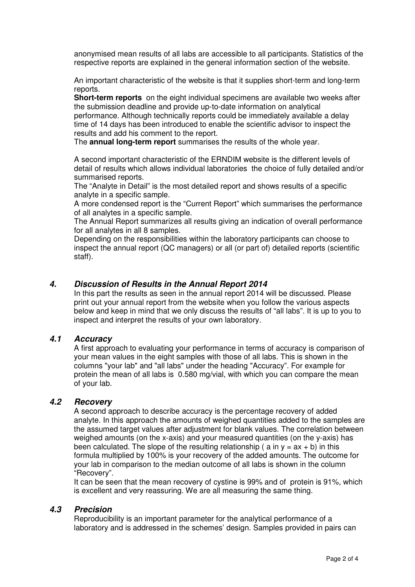anonymised mean results of all labs are accessible to all participants. Statistics of the respective reports are explained in the general information section of the website.

An important characteristic of the website is that it supplies short-term and long-term reports.

**Short-term reports** on the eight individual specimens are available two weeks after the submission deadline and provide up-to-date information on analytical performance. Although technically reports could be immediately available a delay time of 14 days has been introduced to enable the scientific advisor to inspect the

results and add his comment to the report. The **annual long-term report** summarises the results of the whole year.

A second important characteristic of the ERNDIM website is the different levels of detail of results which allows individual laboratories the choice of fully detailed and/or summarised reports.

The "Analyte in Detail" is the most detailed report and shows results of a specific analyte in a specific sample.

A more condensed report is the "Current Report" which summarises the performance of all analytes in a specific sample.

The Annual Report summarizes all results giving an indication of overall performance for all analytes in all 8 samples.

Depending on the responsibilities within the laboratory participants can choose to inspect the annual report (QC managers) or all (or part of) detailed reports (scientific staff).

# **4. Discussion of Results in the Annual Report 2014**

In this part the results as seen in the annual report 2014 will be discussed. Please print out your annual report from the website when you follow the various aspects below and keep in mind that we only discuss the results of "all labs". It is up to you to inspect and interpret the results of your own laboratory.

# **4.1 Accuracy**

A first approach to evaluating your performance in terms of accuracy is comparison of your mean values in the eight samples with those of all labs. This is shown in the columns "your lab" and "all labs" under the heading "Accuracy". For example for protein the mean of all labs is 0.580 mg/vial, with which you can compare the mean of your lab.

# **4.2 Recovery**

A second approach to describe accuracy is the percentage recovery of added analyte. In this approach the amounts of weighed quantities added to the samples are the assumed target values after adjustment for blank values. The correlation between weighed amounts (on the x-axis) and your measured quantities (on the y-axis) has been calculated. The slope of the resulting relationship ( a in  $y = ax + b$ ) in this formula multiplied by 100% is your recovery of the added amounts. The outcome for your lab in comparison to the median outcome of all labs is shown in the column "Recovery".

It can be seen that the mean recovery of cystine is 99% and of protein is 91%, which is excellent and very reassuring. We are all measuring the same thing.

# **4.3 Precision**

Reproducibility is an important parameter for the analytical performance of a laboratory and is addressed in the schemes' design. Samples provided in pairs can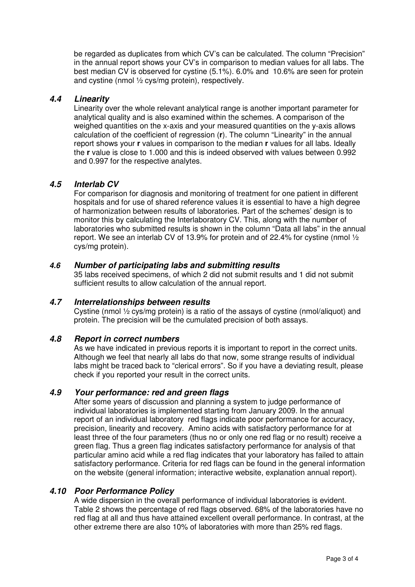be regarded as duplicates from which CV's can be calculated. The column "Precision" in the annual report shows your CV's in comparison to median values for all labs. The best median CV is observed for cystine (5.1%). 6.0% and 10.6% are seen for protein and cystine (nmol ½ cys/mg protein), respectively.

# **4.4 Linearity**

Linearity over the whole relevant analytical range is another important parameter for analytical quality and is also examined within the schemes. A comparison of the weighed quantities on the x-axis and your measured quantities on the y-axis allows calculation of the coefficient of regression (**r**). The column "Linearity" in the annual report shows your **r** values in comparison to the median **r** values for all labs. Ideally the **r** value is close to 1.000 and this is indeed observed with values between 0.992 and 0.997 for the respective analytes.

# **4.5 Interlab CV**

For comparison for diagnosis and monitoring of treatment for one patient in different hospitals and for use of shared reference values it is essential to have a high degree of harmonization between results of laboratories. Part of the schemes' design is to monitor this by calculating the Interlaboratory CV. This, along with the number of laboratories who submitted results is shown in the column "Data all labs" in the annual report. We see an interlab CV of 13.9% for protein and of 22.4% for cystine (nmol ½ cys/mg protein).

# **4.6 Number of participating labs and submitting results**

35 labs received specimens, of which 2 did not submit results and 1 did not submit sufficient results to allow calculation of the annual report.

# **4.7 Interrelationships between results**

Cystine (nmol ½ cys/mg protein) is a ratio of the assays of cystine (nmol/aliquot) and protein. The precision will be the cumulated precision of both assays.

# **4.8 Report in correct numbers**

As we have indicated in previous reports it is important to report in the correct units. Although we feel that nearly all labs do that now, some strange results of individual labs might be traced back to "clerical errors". So if you have a deviating result, please check if you reported your result in the correct units.

# **4.9 Your performance: red and green flags**

After some years of discussion and planning a system to judge performance of individual laboratories is implemented starting from January 2009. In the annual report of an individual laboratory red flags indicate poor performance for accuracy, precision, linearity and recovery. Amino acids with satisfactory performance for at least three of the four parameters (thus no or only one red flag or no result) receive a green flag. Thus a green flag indicates satisfactory performance for analysis of that particular amino acid while a red flag indicates that your laboratory has failed to attain satisfactory performance. Criteria for red flags can be found in the general information on the website (general information; interactive website, explanation annual report).

# **4.10 Poor Performance Policy**

A wide dispersion in the overall performance of individual laboratories is evident. Table 2 shows the percentage of red flags observed. 68% of the laboratories have no red flag at all and thus have attained excellent overall performance. In contrast, at the other extreme there are also 10% of laboratories with more than 25% red flags.